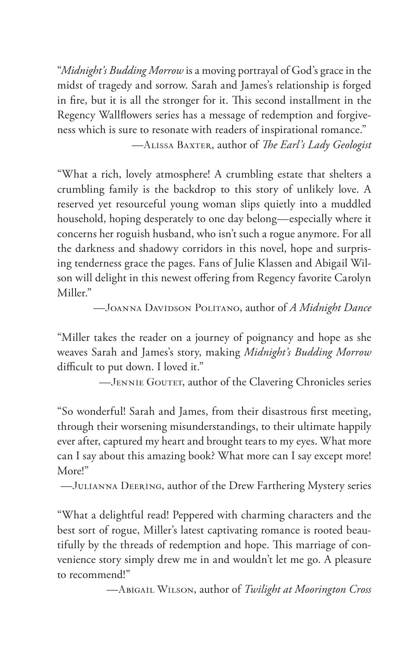"*Midnight's Budding Morrow* is a moving portrayal of God's grace in the midst of tragedy and sorrow. Sarah and James's relationship is forged in fire, but it is all the stronger for it. This second installment in the Regency Wallflowers series has a message of redemption and forgiveness which is sure to resonate with readers of inspirational romance." —Alissa Baxter, author of *The Earl's Lady Geologist*

"What a rich, lovely atmosphere! A crumbling estate that shelters a crumbling family is the backdrop to this story of unlikely love. A reserved yet resourceful young woman slips quietly into a muddled household, hoping desperately to one day belong—especially where it concerns her roguish husband, who isn't such a rogue anymore. For all the darkness and shadowy corridors in this novel, hope and surprising tenderness grace the pages. Fans of Julie Klassen and Abigail Wilson will delight in this newest offering from Regency favorite Carolyn Miller"

—Joanna Davidson Politano, author of *A Midnight Dance*

"Miller takes the reader on a journey of poignancy and hope as she weaves Sarah and James's story, making *Midnight's Budding Morrow*  difficult to put down. I loved it."

—Jennie Goutet, author of the Clavering Chronicles series

"So wonderful! Sarah and James, from their disastrous first meeting, through their worsening misunderstandings, to their ultimate happily ever after, captured my heart and brought tears to my eyes. What more can I say about this amazing book? What more can I say except more! More!"

—Julianna Deering, author of the Drew Farthering Mystery series

"What a delightful read! Peppered with charming characters and the best sort of rogue, Miller's latest captivating romance is rooted beautifully by the threads of redemption and hope. This marriage of convenience story simply drew me in and wouldn't let me go. A pleasure to recommend!"

—Abigail Wilson, author of *Twilight at Moorington Cross*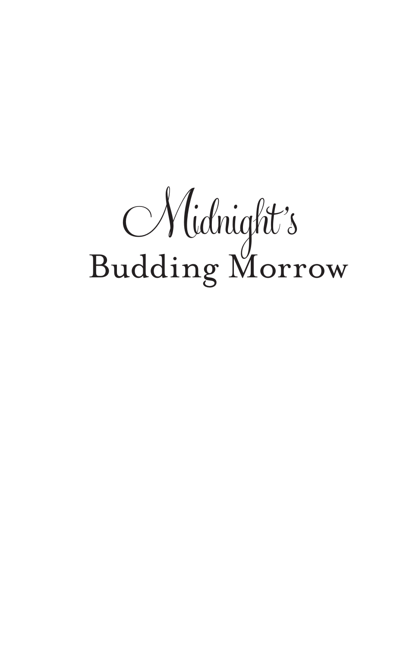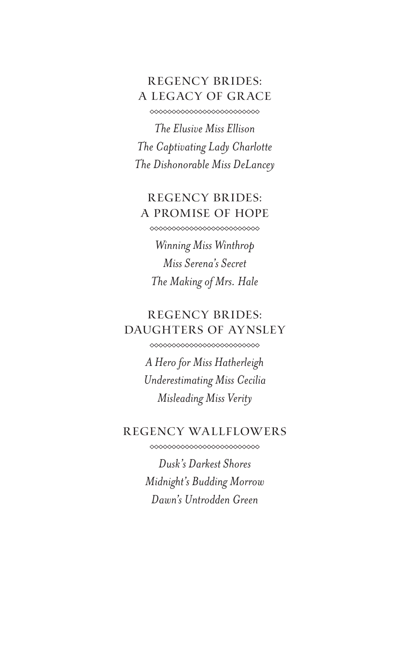## Regency Brides: A Legacy of Grace \*\*\*\*\*\*\*\*\*\*\*\*\*\*\*\*\*\*\*\*\*\*

*The Elusive Miss Ellison The Captivating Lady Charlotte The Dishonorable Miss DeLancey*

### Regency Brides: A Promise of Hope \*\*\*\*\*\*\*\*\*\*\*\*\*\*\*\*\*\*\*\*\*\*\*

*Winning Miss Winthrop Miss Serena's Secret The Making of Mrs. Hale*

## Regency Brides: Daughters of Aynsley

*A Hero for Miss Hatherleigh Underestimating Miss Cecilia Misleading Miss Verity*

#### Regency Wallflowers

\*\*\*\*\*\*\*\*\*\*\*\*\*\*\*\*\*\*\*\*\*\*\*

*Dusk's Darkest Shores Midnight's Budding Morrow Dawn's Untrodden Green*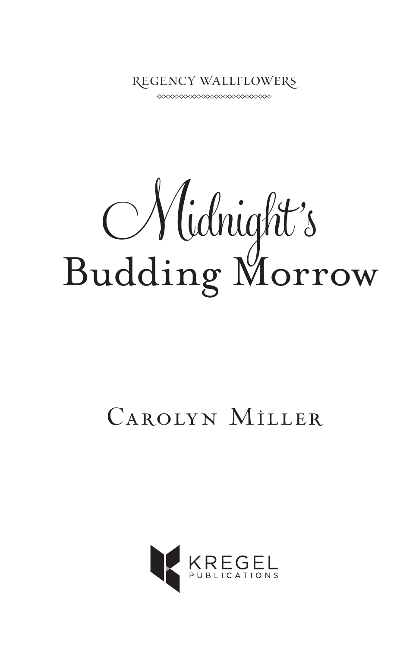Regency Wallflowers

Midnight' s Budding Morrow

# Carolyn Miller

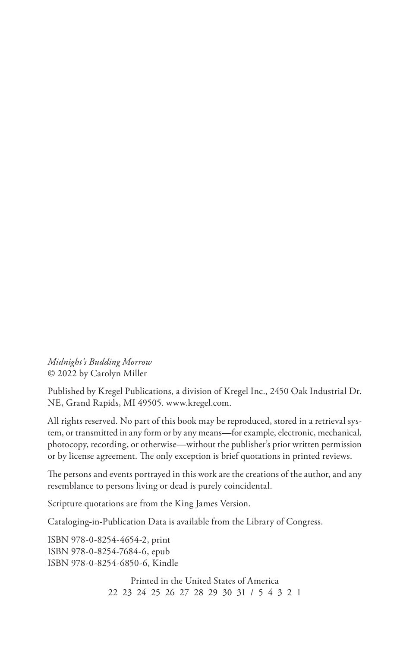*Midnight's Budding Morrow* © 2022 by Carolyn Miller

Published by Kregel Publications, a division of Kregel Inc., 2450 Oak Industrial Dr. NE, Grand Rapids, MI 49505. www.kregel.com.

All rights reserved. No part of this book may be reproduced, stored in a retrieval system, or transmitted in any form or by any means—for example, electronic, mechanical, photocopy, recording, or otherwise—without the publisher's prior written permission or by license agreement. The only exception is brief quotations in printed reviews.

The persons and events portrayed in this work are the creations of the author, and any resemblance to persons living or dead is purely coincidental.

Scripture quotations are from the King James Version.

Cataloging-in-Publication Data is available from the Library of Congress.

ISBN 978-0-8254-4654-2, print ISBN 978-0-8254-7684-6, epub ISBN 978-0-8254-6850-6, Kindle

> Printed in the United States of America 22 23 24 25 26 27 28 29 30 31 / 5 4 3 2 1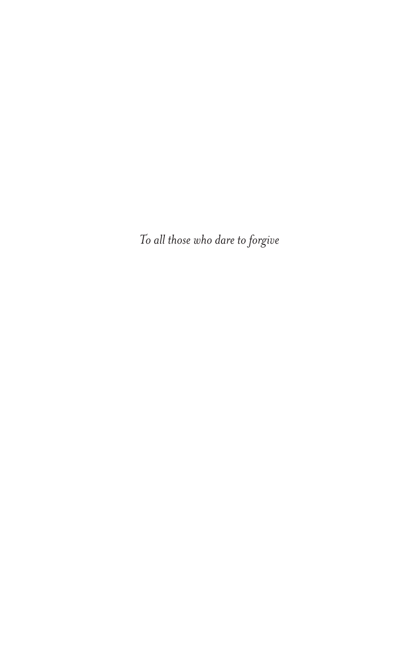*To all those who dare to forgive*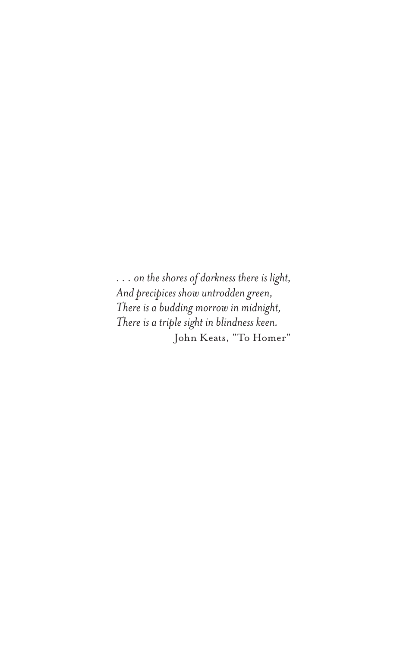*. . . on the shores of darkness there is light, And precipices show untrodden green, There is a budding morrow in midnight, There is a triple sight in blindness keen.* John Keats, "To Homer"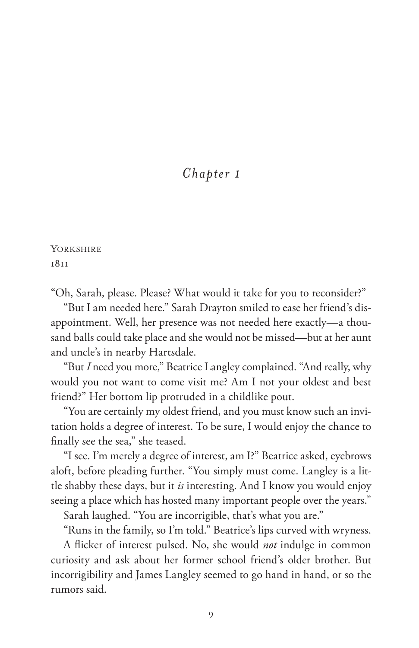# *Chapter 1*

**YORKSHIRE** 1811

"Oh, Sarah, please. Please? What would it take for you to reconsider?"

"But I am needed here." Sarah Drayton smiled to ease her friend's disappointment. Well, her presence was not needed here exactly—a thousand balls could take place and she would not be missed—but at her aunt and uncle's in nearby Hartsdale.

"But *I* need you more," Beatrice Langley complained. "And really, why would you not want to come visit me? Am I not your oldest and best friend?" Her bottom lip protruded in a childlike pout.

"You are certainly my oldest friend, and you must know such an invitation holds a degree of interest. To be sure, I would enjoy the chance to finally see the sea," she teased.

"I see. I'm merely a degree of interest, am I?" Beatrice asked, eyebrows aloft, before pleading further. "You simply must come. Langley is a little shabby these days, but it *is* interesting. And I know you would enjoy seeing a place which has hosted many important people over the years."

Sarah laughed. "You are incorrigible, that's what you are."

"Runs in the family, so I'm told." Beatrice's lips curved with wryness.

A flicker of interest pulsed. No, she would *not* indulge in common curiosity and ask about her former school friend's older brother. But incorrigibility and James Langley seemed to go hand in hand, or so the rumors said.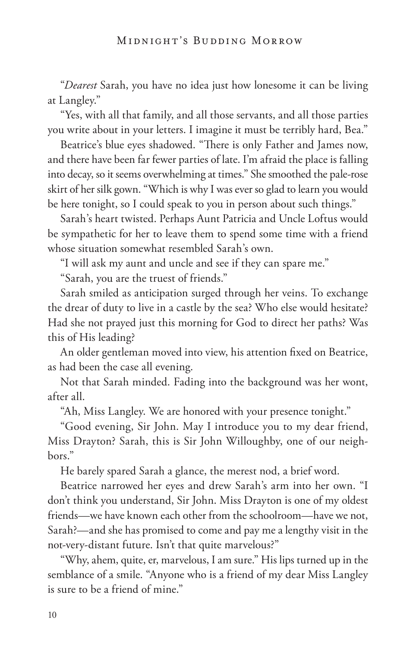"*Dearest* Sarah, you have no idea just how lonesome it can be living at Langley."

"Yes, with all that family, and all those servants, and all those parties you write about in your letters. I imagine it must be terribly hard, Bea."

Beatrice's blue eyes shadowed. "There is only Father and James now, and there have been far fewer parties of late. I'm afraid the place is falling into decay, so it seems overwhelming at times." She smoothed the pale-rose skirt of her silk gown. "Which is why I was ever so glad to learn you would be here tonight, so I could speak to you in person about such things."

Sarah's heart twisted. Perhaps Aunt Patricia and Uncle Loftus would be sympathetic for her to leave them to spend some time with a friend whose situation somewhat resembled Sarah's own.

"I will ask my aunt and uncle and see if they can spare me."

"Sarah, you are the truest of friends."

Sarah smiled as anticipation surged through her veins. To exchange the drear of duty to live in a castle by the sea? Who else would hesitate? Had she not prayed just this morning for God to direct her paths? Was this of His leading?

An older gentleman moved into view, his attention fixed on Beatrice, as had been the case all evening.

Not that Sarah minded. Fading into the background was her wont, after all.

"Ah, Miss Langley. We are honored with your presence tonight."

"Good evening, Sir John. May I introduce you to my dear friend, Miss Drayton? Sarah, this is Sir John Willoughby, one of our neighbors."

He barely spared Sarah a glance, the merest nod, a brief word.

Beatrice narrowed her eyes and drew Sarah's arm into her own. "I don't think you understand, Sir John. Miss Drayton is one of my oldest friends—we have known each other from the schoolroom—have we not, Sarah?—and she has promised to come and pay me a lengthy visit in the not-very-distant future. Isn't that quite marvelous?"

"Why, ahem, quite, er, marvelous, I am sure." His lips turned up in the semblance of a smile. "Anyone who is a friend of my dear Miss Langley is sure to be a friend of mine."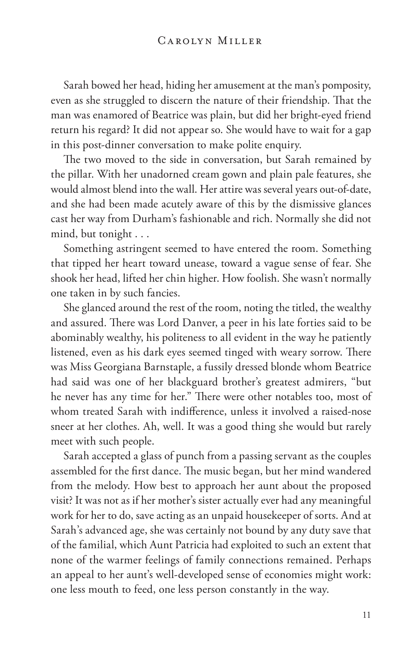Sarah bowed her head, hiding her amusement at the man's pomposity, even as she struggled to discern the nature of their friendship. That the man was enamored of Beatrice was plain, but did her bright-eyed friend return his regard? It did not appear so. She would have to wait for a gap in this post-dinner conversation to make polite enquiry.

The two moved to the side in conversation, but Sarah remained by the pillar. With her unadorned cream gown and plain pale features, she would almost blend into the wall. Her attire was several years out-of-date, and she had been made acutely aware of this by the dismissive glances cast her way from Durham's fashionable and rich. Normally she did not mind, but tonight . . .

Something astringent seemed to have entered the room. Something that tipped her heart toward unease, toward a vague sense of fear. She shook her head, lifted her chin higher. How foolish. She wasn't normally one taken in by such fancies.

She glanced around the rest of the room, noting the titled, the wealthy and assured. There was Lord Danver, a peer in his late forties said to be abominably wealthy, his politeness to all evident in the way he patiently listened, even as his dark eyes seemed tinged with weary sorrow. There was Miss Georgiana Barnstaple, a fussily dressed blonde whom Beatrice had said was one of her blackguard brother's greatest admirers, "but he never has any time for her." There were other notables too, most of whom treated Sarah with indifference, unless it involved a raised-nose sneer at her clothes. Ah, well. It was a good thing she would but rarely meet with such people.

Sarah accepted a glass of punch from a passing servant as the couples assembled for the first dance. The music began, but her mind wandered from the melody. How best to approach her aunt about the proposed visit? It was not as if her mother's sister actually ever had any meaningful work for her to do, save acting as an unpaid housekeeper of sorts. And at Sarah's advanced age, she was certainly not bound by any duty save that of the familial, which Aunt Patricia had exploited to such an extent that none of the warmer feelings of family connections remained. Perhaps an appeal to her aunt's well-developed sense of economies might work: one less mouth to feed, one less person constantly in the way.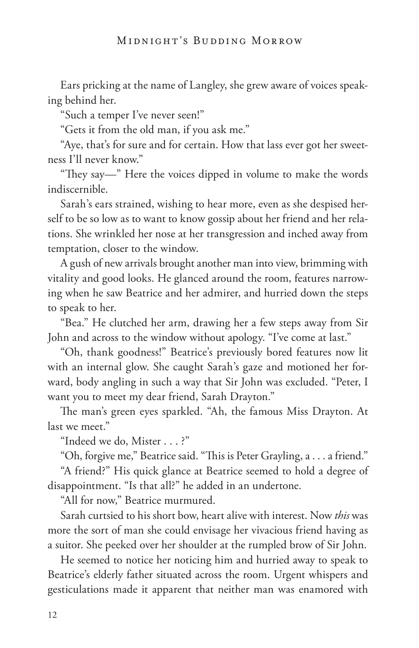Ears pricking at the name of Langley, she grew aware of voices speaking behind her.

"Such a temper I've never seen!"

"Gets it from the old man, if you ask me."

"Aye, that's for sure and for certain. How that lass ever got her sweetness I'll never know."

"They say—" Here the voices dipped in volume to make the words indiscernible.

Sarah's ears strained, wishing to hear more, even as she despised herself to be so low as to want to know gossip about her friend and her relations. She wrinkled her nose at her transgression and inched away from temptation, closer to the window.

A gush of new arrivals brought another man into view, brimming with vitality and good looks. He glanced around the room, features narrowing when he saw Beatrice and her admirer, and hurried down the steps to speak to her.

"Bea." He clutched her arm, drawing her a few steps away from Sir John and across to the window without apology. "I've come at last."

"Oh, thank goodness!" Beatrice's previously bored features now lit with an internal glow. She caught Sarah's gaze and motioned her forward, body angling in such a way that Sir John was excluded. "Peter, I want you to meet my dear friend, Sarah Drayton."

The man's green eyes sparkled. "Ah, the famous Miss Drayton. At last we meet."

"Indeed we do, Mister . . . ?"

"Oh, forgive me," Beatrice said. "This is Peter Grayling, a . . . a friend."

"A friend?" His quick glance at Beatrice seemed to hold a degree of disappointment. "Is that all?" he added in an undertone.

"All for now," Beatrice murmured.

Sarah curtsied to his short bow, heart alive with interest. Now *this* was more the sort of man she could envisage her vivacious friend having as a suitor. She peeked over her shoulder at the rumpled brow of Sir John.

He seemed to notice her noticing him and hurried away to speak to Beatrice's elderly father situated across the room. Urgent whispers and gesticulations made it apparent that neither man was enamored with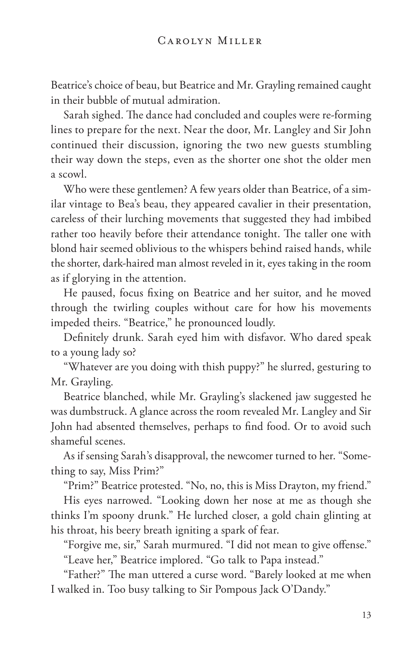Beatrice's choice of beau, but Beatrice and Mr. Grayling remained caught in their bubble of mutual admiration.

Sarah sighed. The dance had concluded and couples were re-forming lines to prepare for the next. Near the door, Mr. Langley and Sir John continued their discussion, ignoring the two new guests stumbling their way down the steps, even as the shorter one shot the older men a scowl.

Who were these gentlemen? A few years older than Beatrice, of a similar vintage to Bea's beau, they appeared cavalier in their presentation, careless of their lurching movements that suggested they had imbibed rather too heavily before their attendance tonight. The taller one with blond hair seemed oblivious to the whispers behind raised hands, while the shorter, dark-haired man almost reveled in it, eyes taking in the room as if glorying in the attention.

He paused, focus fixing on Beatrice and her suitor, and he moved through the twirling couples without care for how his movements impeded theirs. "Beatrice," he pronounced loudly.

Definitely drunk. Sarah eyed him with disfavor. Who dared speak to a young lady so?

"Whatever are you doing with thish puppy?" he slurred, gesturing to Mr. Grayling.

Beatrice blanched, while Mr. Grayling's slackened jaw suggested he was dumbstruck. A glance across the room revealed Mr. Langley and Sir John had absented themselves, perhaps to find food. Or to avoid such shameful scenes.

As if sensing Sarah's disapproval, the newcomer turned to her. "Something to say, Miss Prim?"

"Prim?" Beatrice protested. "No, no, this is Miss Drayton, my friend."

His eyes narrowed. "Looking down her nose at me as though she thinks I'm spoony drunk." He lurched closer, a gold chain glinting at his throat, his beery breath igniting a spark of fear.

"Forgive me, sir," Sarah murmured. "I did not mean to give offense." "Leave her," Beatrice implored. "Go talk to Papa instead."

"Father?" The man uttered a curse word. "Barely looked at me when I walked in. Too busy talking to Sir Pompous Jack O'Dandy."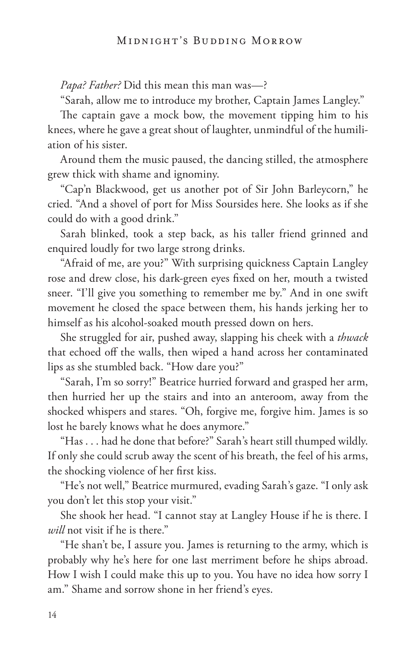*Papa? Father?* Did this mean this man was—?

"Sarah, allow me to introduce my brother, Captain James Langley."

The captain gave a mock bow, the movement tipping him to his knees, where he gave a great shout of laughter, unmindful of the humiliation of his sister.

Around them the music paused, the dancing stilled, the atmosphere grew thick with shame and ignominy.

"Cap'n Blackwood, get us another pot of Sir John Barleycorn," he cried. "And a shovel of port for Miss Soursides here. She looks as if she could do with a good drink."

Sarah blinked, took a step back, as his taller friend grinned and enquired loudly for two large strong drinks.

"Afraid of me, are you?" With surprising quickness Captain Langley rose and drew close, his dark-green eyes fixed on her, mouth a twisted sneer. "I'll give you something to remember me by." And in one swift movement he closed the space between them, his hands jerking her to himself as his alcohol-soaked mouth pressed down on hers.

She struggled for air, pushed away, slapping his cheek with a *thwack* that echoed off the walls, then wiped a hand across her contaminated lips as she stumbled back. "How dare you?"

"Sarah, I'm so sorry!" Beatrice hurried forward and grasped her arm, then hurried her up the stairs and into an anteroom, away from the shocked whispers and stares. "Oh, forgive me, forgive him. James is so lost he barely knows what he does anymore."

"Has . . . had he done that before?" Sarah's heart still thumped wildly. If only she could scrub away the scent of his breath, the feel of his arms, the shocking violence of her first kiss.

"He's not well," Beatrice murmured, evading Sarah's gaze. "I only ask you don't let this stop your visit."

She shook her head. "I cannot stay at Langley House if he is there. I *will* not visit if he is there."

"He shan't be, I assure you. James is returning to the army, which is probably why he's here for one last merriment before he ships abroad. How I wish I could make this up to you. You have no idea how sorry I am." Shame and sorrow shone in her friend's eyes.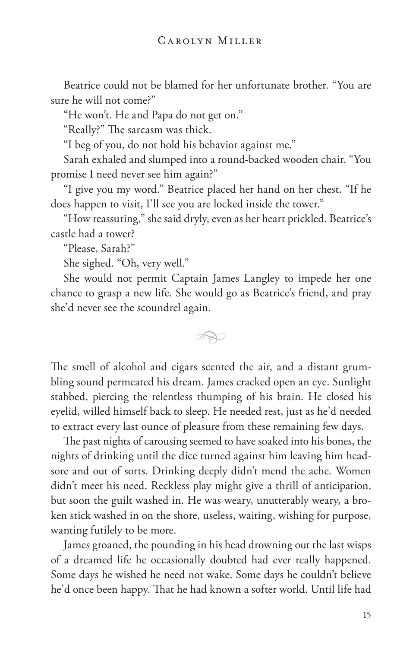Beatrice could not be blamed for her unfortunate brother. "You are sure he will not come?"

"He won't. He and Papa do not get on."

"Really?" The sarcasm was thick.

"I beg of you, do not hold his behavior against me."

Sarah exhaled and slumped into a round-backed wooden chair. "You promise I need never see him again?"

"I give you my word." Beatrice placed her hand on her chest. "If he does happen to visit, I'll see you are locked inside the tower."

"How reassuring," she said dryly, even as her heart prickled. Beatrice's castle had a tower?

"Please, Sarah?"

She sighed. "Oh, very well."

She would not permit Captain James Langley to impede her one chance to grasp a new life. She would go as Beatrice's friend, and pray she'd never see the scoundrel again.

 $\infty$ 

The smell of alcohol and cigars scented the air, and a distant grumbling sound permeated his dream. James cracked open an eye. Sunlight stabbed, piercing the relentless thumping of his brain. He closed his eyelid, willed himself back to sleep. He needed rest, just as he'd needed to extract every last ounce of pleasure from these remaining few days.

The past nights of carousing seemed to have soaked into his bones, the nights of drinking until the dice turned against him leaving him headsore and out of sorts. Drinking deeply didn't mend the ache. Women didn't meet his need. Reckless play might give a thrill of anticipation, but soon the guilt washed in. He was weary, unutterably weary, a broken stick washed in on the shore, useless, waiting, wishing for purpose, wanting futilely to be more.

James groaned, the pounding in his head drowning out the last wisps of a dreamed life he occasionally doubted had ever really happened. Some days he wished he need not wake. Some days he couldn't believe he'd once been happy. That he had known a softer world. Until life had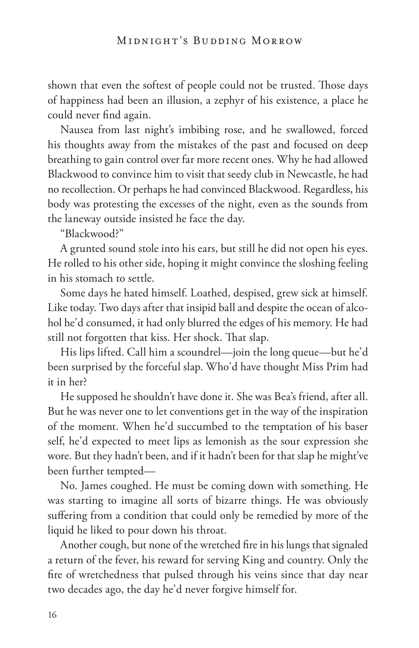shown that even the softest of people could not be trusted. Those days of happiness had been an illusion, a zephyr of his existence, a place he could never find again.

Nausea from last night's imbibing rose, and he swallowed, forced his thoughts away from the mistakes of the past and focused on deep breathing to gain control over far more recent ones. Why he had allowed Blackwood to convince him to visit that seedy club in Newcastle, he had no recollection. Or perhaps he had convinced Blackwood. Regardless, his body was protesting the excesses of the night, even as the sounds from the laneway outside insisted he face the day.

"Blackwood?"

A grunted sound stole into his ears, but still he did not open his eyes. He rolled to his other side, hoping it might convince the sloshing feeling in his stomach to settle.

Some days he hated himself. Loathed, despised, grew sick at himself. Like today. Two days after that insipid ball and despite the ocean of alcohol he'd consumed, it had only blurred the edges of his memory. He had still not forgotten that kiss. Her shock. That slap.

His lips lifted. Call him a scoundrel—join the long queue—but he'd been surprised by the forceful slap. Who'd have thought Miss Prim had it in her?

He supposed he shouldn't have done it. She was Bea's friend, after all. But he was never one to let conventions get in the way of the inspiration of the moment. When he'd succumbed to the temptation of his baser self, he'd expected to meet lips as lemonish as the sour expression she wore. But they hadn't been, and if it hadn't been for that slap he might've been further tempted—

No. James coughed. He must be coming down with something. He was starting to imagine all sorts of bizarre things. He was obviously suffering from a condition that could only be remedied by more of the liquid he liked to pour down his throat.

Another cough, but none of the wretched fire in his lungs that signaled a return of the fever, his reward for serving King and country. Only the fire of wretchedness that pulsed through his veins since that day near two decades ago, the day he'd never forgive himself for.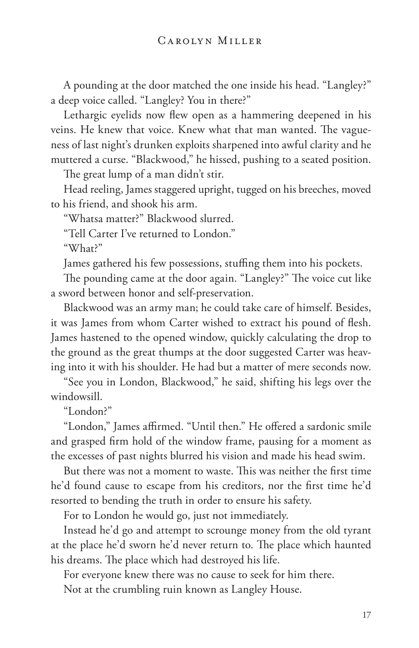A pounding at the door matched the one inside his head. "Langley?" a deep voice called. "Langley? You in there?"

Lethargic eyelids now flew open as a hammering deepened in his veins. He knew that voice. Knew what that man wanted. The vagueness of last night's drunken exploits sharpened into awful clarity and he muttered a curse. "Blackwood," he hissed, pushing to a seated position.

The great lump of a man didn't stir.

Head reeling, James staggered upright, tugged on his breeches, moved to his friend, and shook his arm.

"Whatsa matter?" Blackwood slurred.

"Tell Carter I've returned to London."

"What?"

James gathered his few possessions, stuffing them into his pockets.

The pounding came at the door again. "Langley?" The voice cut like a sword between honor and self-preservation.

Blackwood was an army man; he could take care of himself. Besides, it was James from whom Carter wished to extract his pound of flesh. James hastened to the opened window, quickly calculating the drop to the ground as the great thumps at the door suggested Carter was heaving into it with his shoulder. He had but a matter of mere seconds now.

"See you in London, Blackwood," he said, shifting his legs over the windowsill.

"London?"

"London," James affirmed. "Until then." He offered a sardonic smile and grasped firm hold of the window frame, pausing for a moment as the excesses of past nights blurred his vision and made his head swim.

But there was not a moment to waste. This was neither the first time he'd found cause to escape from his creditors, nor the first time he'd resorted to bending the truth in order to ensure his safety.

For to London he would go, just not immediately.

Instead he'd go and attempt to scrounge money from the old tyrant at the place he'd sworn he'd never return to. The place which haunted his dreams. The place which had destroyed his life.

For everyone knew there was no cause to seek for him there.

Not at the crumbling ruin known as Langley House.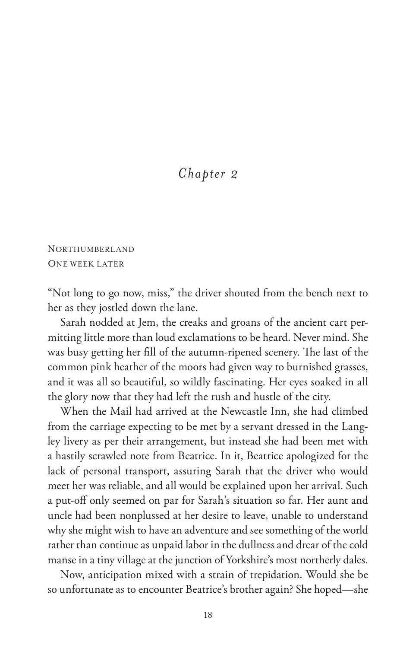## *Chapter 2*

NORTHUMBERLAND One week later

"Not long to go now, miss," the driver shouted from the bench next to her as they jostled down the lane.

Sarah nodded at Jem, the creaks and groans of the ancient cart permitting little more than loud exclamations to be heard. Never mind. She was busy getting her fill of the autumn-ripened scenery. The last of the common pink heather of the moors had given way to burnished grasses, and it was all so beautiful, so wildly fascinating. Her eyes soaked in all the glory now that they had left the rush and hustle of the city.

When the Mail had arrived at the Newcastle Inn, she had climbed from the carriage expecting to be met by a servant dressed in the Langley livery as per their arrangement, but instead she had been met with a hastily scrawled note from Beatrice. In it, Beatrice apologized for the lack of personal transport, assuring Sarah that the driver who would meet her was reliable, and all would be explained upon her arrival. Such a put-off only seemed on par for Sarah's situation so far. Her aunt and uncle had been nonplussed at her desire to leave, unable to understand why she might wish to have an adventure and see something of the world rather than continue as unpaid labor in the dullness and drear of the cold manse in a tiny village at the junction of Yorkshire's most northerly dales.

Now, anticipation mixed with a strain of trepidation. Would she be so unfortunate as to encounter Beatrice's brother again? She hoped—she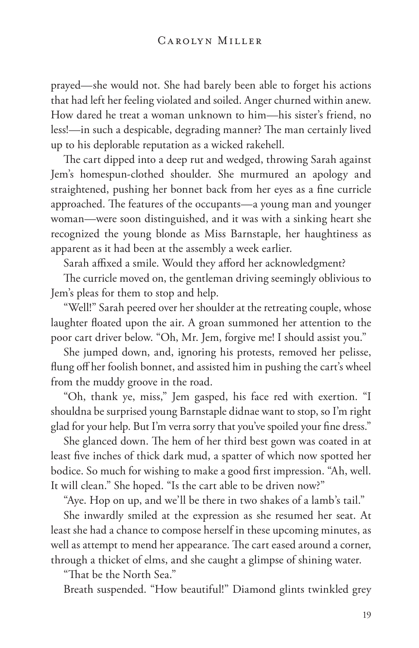prayed—she would not. She had barely been able to forget his actions that had left her feeling violated and soiled. Anger churned within anew. How dared he treat a woman unknown to him—his sister's friend, no less!—in such a despicable, degrading manner? The man certainly lived up to his deplorable reputation as a wicked rakehell.

The cart dipped into a deep rut and wedged, throwing Sarah against Jem's homespun-clothed shoulder. She murmured an apology and straightened, pushing her bonnet back from her eyes as a fine curricle approached. The features of the occupants—a young man and younger woman—were soon distinguished, and it was with a sinking heart she recognized the young blonde as Miss Barnstaple, her haughtiness as apparent as it had been at the assembly a week earlier.

Sarah affixed a smile. Would they afford her acknowledgment?

The curricle moved on, the gentleman driving seemingly oblivious to Jem's pleas for them to stop and help.

"Well!" Sarah peered over her shoulder at the retreating couple, whose laughter floated upon the air. A groan summoned her attention to the poor cart driver below. "Oh, Mr. Jem, forgive me! I should assist you."

She jumped down, and, ignoring his protests, removed her pelisse, flung off her foolish bonnet, and assisted him in pushing the cart's wheel from the muddy groove in the road.

"Oh, thank ye, miss," Jem gasped, his face red with exertion. "I shouldna be surprised young Barnstaple didnae want to stop, so I'm right glad for your help. But I'm verra sorry that you've spoiled your fine dress."

She glanced down. The hem of her third best gown was coated in at least five inches of thick dark mud, a spatter of which now spotted her bodice. So much for wishing to make a good first impression. "Ah, well. It will clean." She hoped. "Is the cart able to be driven now?"

"Aye. Hop on up, and we'll be there in two shakes of a lamb's tail."

She inwardly smiled at the expression as she resumed her seat. At least she had a chance to compose herself in these upcoming minutes, as well as attempt to mend her appearance. The cart eased around a corner, through a thicket of elms, and she caught a glimpse of shining water.

"That be the North Sea."

Breath suspended. "How beautiful!" Diamond glints twinkled grey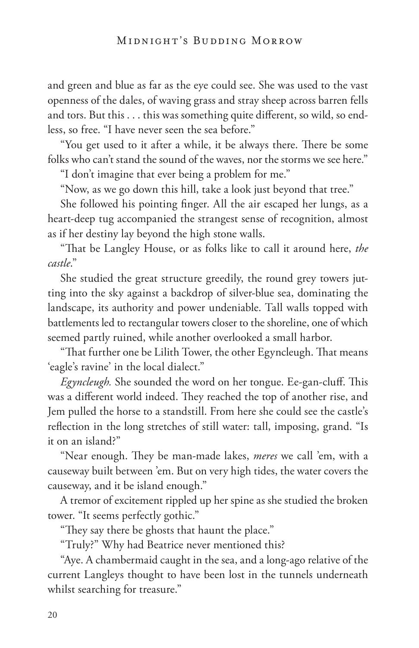and green and blue as far as the eye could see. She was used to the vast openness of the dales, of waving grass and stray sheep across barren fells and tors. But this . . . this was something quite different, so wild, so endless, so free. "I have never seen the sea before."

"You get used to it after a while, it be always there. There be some folks who can't stand the sound of the waves, nor the storms we see here."

"I don't imagine that ever being a problem for me."

"Now, as we go down this hill, take a look just beyond that tree."

She followed his pointing finger. All the air escaped her lungs, as a heart-deep tug accompanied the strangest sense of recognition, almost as if her destiny lay beyond the high stone walls.

"That be Langley House, or as folks like to call it around here, *the castle*."

She studied the great structure greedily, the round grey towers jutting into the sky against a backdrop of silver-blue sea, dominating the landscape, its authority and power undeniable. Tall walls topped with battlements led to rectangular towers closer to the shoreline, one of which seemed partly ruined, while another overlooked a small harbor.

"That further one be Lilith Tower, the other Egyncleugh. That means 'eagle's ravine' in the local dialect."

*Egyncleugh.* She sounded the word on her tongue. Ee-gan-cluff. This was a different world indeed. They reached the top of another rise, and Jem pulled the horse to a standstill. From here she could see the castle's reflection in the long stretches of still water: tall, imposing, grand. "Is it on an island?"

"Near enough. They be man-made lakes, *meres* we call 'em, with a causeway built between 'em. But on very high tides, the water covers the causeway, and it be island enough."

A tremor of excitement rippled up her spine as she studied the broken tower. "It seems perfectly gothic."

"They say there be ghosts that haunt the place."

"Truly?" Why had Beatrice never mentioned this?

"Aye. A chambermaid caught in the sea, and a long-ago relative of the current Langleys thought to have been lost in the tunnels underneath whilst searching for treasure."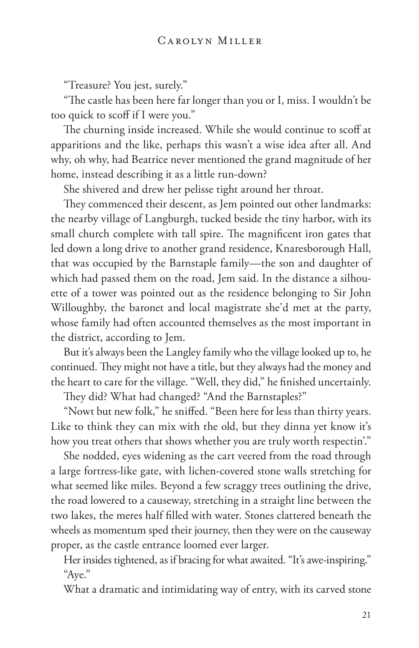"Treasure? You jest, surely."

"The castle has been here far longer than you or I, miss. I wouldn't be too quick to scoff if I were you."

The churning inside increased. While she would continue to scoff at apparitions and the like, perhaps this wasn't a wise idea after all. And why, oh why, had Beatrice never mentioned the grand magnitude of her home, instead describing it as a little run-down?

She shivered and drew her pelisse tight around her throat.

They commenced their descent, as Jem pointed out other landmarks: the nearby village of Langburgh, tucked beside the tiny harbor, with its small church complete with tall spire. The magnificent iron gates that led down a long drive to another grand residence, Knaresborough Hall, that was occupied by the Barnstaple family—the son and daughter of which had passed them on the road, Jem said. In the distance a silhouette of a tower was pointed out as the residence belonging to Sir John Willoughby, the baronet and local magistrate she'd met at the party, whose family had often accounted themselves as the most important in the district, according to Jem.

But it's always been the Langley family who the village looked up to, he continued. They might not have a title, but they always had the money and the heart to care for the village. "Well, they did," he finished uncertainly.

They did? What had changed? "And the Barnstaples?"

"Nowt but new folk," he sniffed. "Been here for less than thirty years. Like to think they can mix with the old, but they dinna yet know it's how you treat others that shows whether you are truly worth respectin'."

She nodded, eyes widening as the cart veered from the road through a large fortress-like gate, with lichen-covered stone walls stretching for what seemed like miles. Beyond a few scraggy trees outlining the drive, the road lowered to a causeway, stretching in a straight line between the two lakes, the meres half filled with water. Stones clattered beneath the wheels as momentum sped their journey, then they were on the causeway proper, as the castle entrance loomed ever larger.

Her insides tightened, as if bracing for what awaited. "It's awe-inspiring." "Aye."

What a dramatic and intimidating way of entry, with its carved stone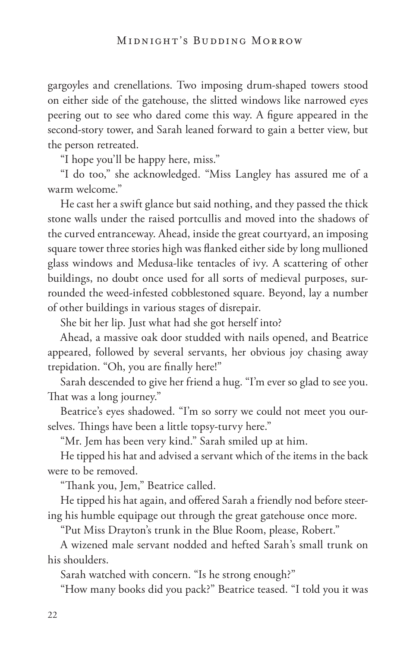gargoyles and crenellations. Two imposing drum-shaped towers stood on either side of the gatehouse, the slitted windows like narrowed eyes peering out to see who dared come this way. A figure appeared in the second-story tower, and Sarah leaned forward to gain a better view, but the person retreated.

"I hope you'll be happy here, miss."

"I do too," she acknowledged. "Miss Langley has assured me of a warm welcome."

He cast her a swift glance but said nothing, and they passed the thick stone walls under the raised portcullis and moved into the shadows of the curved entranceway. Ahead, inside the great courtyard, an imposing square tower three stories high was flanked either side by long mullioned glass windows and Medusa-like tentacles of ivy. A scattering of other buildings, no doubt once used for all sorts of medieval purposes, surrounded the weed-infested cobblestoned square. Beyond, lay a number of other buildings in various stages of disrepair.

She bit her lip. Just what had she got herself into?

Ahead, a massive oak door studded with nails opened, and Beatrice appeared, followed by several servants, her obvious joy chasing away trepidation. "Oh, you are finally here!"

Sarah descended to give her friend a hug. "I'm ever so glad to see you. That was a long journey."

Beatrice's eyes shadowed. "I'm so sorry we could not meet you ourselves. Things have been a little topsy-turvy here."

"Mr. Jem has been very kind." Sarah smiled up at him.

He tipped his hat and advised a servant which of the items in the back were to be removed.

"Thank you, Jem," Beatrice called.

He tipped his hat again, and offered Sarah a friendly nod before steering his humble equipage out through the great gatehouse once more.

"Put Miss Drayton's trunk in the Blue Room, please, Robert."

A wizened male servant nodded and hefted Sarah's small trunk on his shoulders.

Sarah watched with concern. "Is he strong enough?"

"How many books did you pack?" Beatrice teased. "I told you it was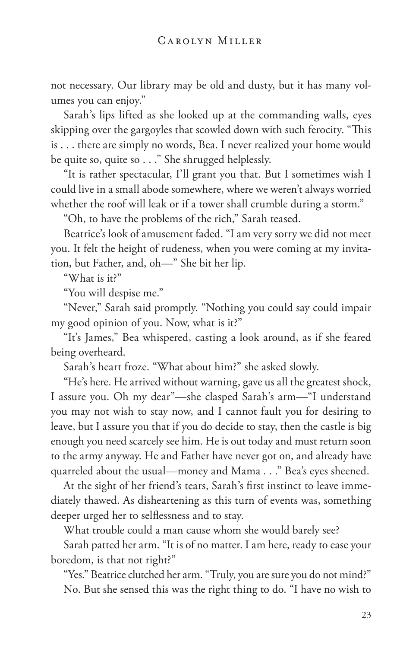not necessary. Our library may be old and dusty, but it has many volumes you can enjoy."

Sarah's lips lifted as she looked up at the commanding walls, eyes skipping over the gargoyles that scowled down with such ferocity. "This is . . . there are simply no words, Bea. I never realized your home would be quite so, quite so . . ." She shrugged helplessly.

"It is rather spectacular, I'll grant you that. But I sometimes wish I could live in a small abode somewhere, where we weren't always worried whether the roof will leak or if a tower shall crumble during a storm."

"Oh, to have the problems of the rich," Sarah teased.

Beatrice's look of amusement faded. "I am very sorry we did not meet you. It felt the height of rudeness, when you were coming at my invitation, but Father, and, oh—" She bit her lip.

"What is it?"

"You will despise me."

"Never," Sarah said promptly. "Nothing you could say could impair my good opinion of you. Now, what is it?"

"It's James," Bea whispered, casting a look around, as if she feared being overheard.

Sarah's heart froze. "What about him?" she asked slowly.

"He's here. He arrived without warning, gave us all the greatest shock, I assure you. Oh my dear"—she clasped Sarah's arm—"I understand you may not wish to stay now, and I cannot fault you for desiring to leave, but I assure you that if you do decide to stay, then the castle is big enough you need scarcely see him. He is out today and must return soon to the army anyway. He and Father have never got on, and already have quarreled about the usual—money and Mama . . ." Bea's eyes sheened.

At the sight of her friend's tears, Sarah's first instinct to leave immediately thawed. As disheartening as this turn of events was, something deeper urged her to selflessness and to stay.

What trouble could a man cause whom she would barely see?

Sarah patted her arm. "It is of no matter. I am here, ready to ease your boredom, is that not right?"

"Yes." Beatrice clutched her arm. "Truly, you are sure you do not mind?" No. But she sensed this was the right thing to do. "I have no wish to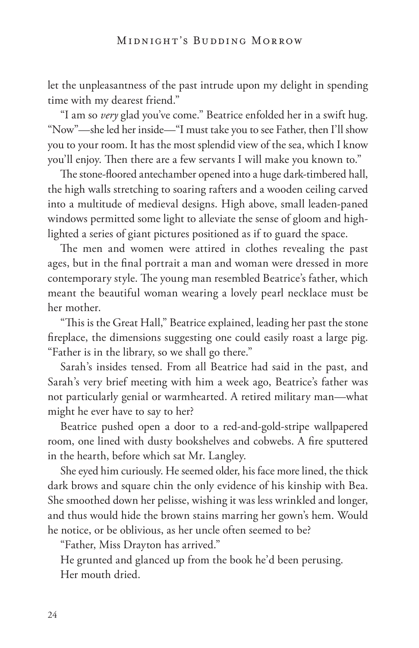let the unpleasantness of the past intrude upon my delight in spending time with my dearest friend."

"I am so *very* glad you've come." Beatrice enfolded her in a swift hug. "Now"—she led her inside—"I must take you to see Father, then I'll show you to your room. It has the most splendid view of the sea, which I know you'll enjoy. Then there are a few servants I will make you known to."

The stone-floored antechamber opened into a huge dark-timbered hall, the high walls stretching to soaring rafters and a wooden ceiling carved into a multitude of medieval designs. High above, small leaden-paned windows permitted some light to alleviate the sense of gloom and highlighted a series of giant pictures positioned as if to guard the space.

The men and women were attired in clothes revealing the past ages, but in the final portrait a man and woman were dressed in more contemporary style. The young man resembled Beatrice's father, which meant the beautiful woman wearing a lovely pearl necklace must be her mother.

"This is the Great Hall," Beatrice explained, leading her past the stone fireplace, the dimensions suggesting one could easily roast a large pig. "Father is in the library, so we shall go there."

Sarah's insides tensed. From all Beatrice had said in the past, and Sarah's very brief meeting with him a week ago, Beatrice's father was not particularly genial or warmhearted. A retired military man—what might he ever have to say to her?

Beatrice pushed open a door to a red-and-gold-stripe wallpapered room, one lined with dusty bookshelves and cobwebs. A fire sputtered in the hearth, before which sat Mr. Langley.

She eyed him curiously. He seemed older, his face more lined, the thick dark brows and square chin the only evidence of his kinship with Bea. She smoothed down her pelisse, wishing it was less wrinkled and longer, and thus would hide the brown stains marring her gown's hem. Would he notice, or be oblivious, as her uncle often seemed to be?

"Father, Miss Drayton has arrived."

He grunted and glanced up from the book he'd been perusing. Her mouth dried.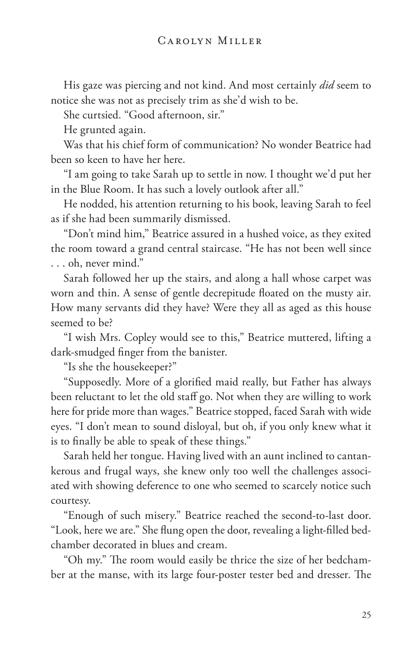His gaze was piercing and not kind. And most certainly *did* seem to notice she was not as precisely trim as she'd wish to be.

She curtsied. "Good afternoon, sir."

He grunted again.

Was that his chief form of communication? No wonder Beatrice had been so keen to have her here.

"I am going to take Sarah up to settle in now. I thought we'd put her in the Blue Room. It has such a lovely outlook after all."

He nodded, his attention returning to his book, leaving Sarah to feel as if she had been summarily dismissed.

"Don't mind him," Beatrice assured in a hushed voice, as they exited the room toward a grand central staircase. "He has not been well since . . . oh, never mind."

Sarah followed her up the stairs, and along a hall whose carpet was worn and thin. A sense of gentle decrepitude floated on the musty air. How many servants did they have? Were they all as aged as this house seemed to be?

"I wish Mrs. Copley would see to this," Beatrice muttered, lifting a dark-smudged finger from the banister.

"Is she the housekeeper?"

"Supposedly. More of a glorified maid really, but Father has always been reluctant to let the old staff go. Not when they are willing to work here for pride more than wages." Beatrice stopped, faced Sarah with wide eyes. "I don't mean to sound disloyal, but oh, if you only knew what it is to finally be able to speak of these things."

Sarah held her tongue. Having lived with an aunt inclined to cantankerous and frugal ways, she knew only too well the challenges associated with showing deference to one who seemed to scarcely notice such courtesy.

"Enough of such misery." Beatrice reached the second-to-last door. "Look, here we are." She flung open the door, revealing a light-filled bedchamber decorated in blues and cream.

"Oh my." The room would easily be thrice the size of her bedchamber at the manse, with its large four-poster tester bed and dresser. The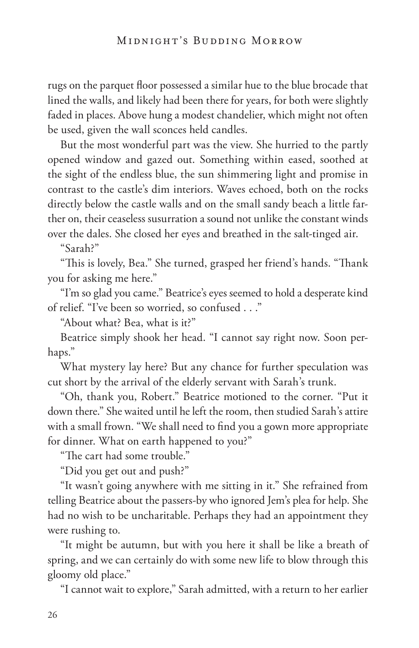rugs on the parquet floor possessed a similar hue to the blue brocade that lined the walls, and likely had been there for years, for both were slightly faded in places. Above hung a modest chandelier, which might not often be used, given the wall sconces held candles.

But the most wonderful part was the view. She hurried to the partly opened window and gazed out. Something within eased, soothed at the sight of the endless blue, the sun shimmering light and promise in contrast to the castle's dim interiors. Waves echoed, both on the rocks directly below the castle walls and on the small sandy beach a little farther on, their ceaseless susurration a sound not unlike the constant winds over the dales. She closed her eyes and breathed in the salt-tinged air.

"Sarah?"

"This is lovely, Bea." She turned, grasped her friend's hands. "Thank you for asking me here."

"I'm so glad you came." Beatrice's eyes seemed to hold a desperate kind of relief. "I've been so worried, so confused . . ."

"About what? Bea, what is it?"

Beatrice simply shook her head. "I cannot say right now. Soon perhaps."

What mystery lay here? But any chance for further speculation was cut short by the arrival of the elderly servant with Sarah's trunk.

"Oh, thank you, Robert." Beatrice motioned to the corner. "Put it down there." She waited until he left the room, then studied Sarah's attire with a small frown. "We shall need to find you a gown more appropriate for dinner. What on earth happened to you?"

"The cart had some trouble."

"Did you get out and push?"

"It wasn't going anywhere with me sitting in it." She refrained from telling Beatrice about the passers-by who ignored Jem's plea for help. She had no wish to be uncharitable. Perhaps they had an appointment they were rushing to.

"It might be autumn, but with you here it shall be like a breath of spring, and we can certainly do with some new life to blow through this gloomy old place."

"I cannot wait to explore," Sarah admitted, with a return to her earlier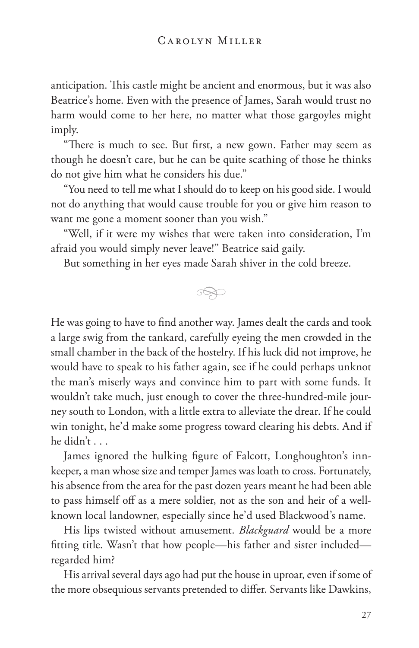anticipation. This castle might be ancient and enormous, but it was also Beatrice's home. Even with the presence of James, Sarah would trust no harm would come to her here, no matter what those gargoyles might imply.

"There is much to see. But first, a new gown. Father may seem as though he doesn't care, but he can be quite scathing of those he thinks do not give him what he considers his due."

"You need to tell me what I should do to keep on his good side. I would not do anything that would cause trouble for you or give him reason to want me gone a moment sooner than you wish."

"Well, if it were my wishes that were taken into consideration, I'm afraid you would simply never leave!" Beatrice said gaily.

But something in her eyes made Sarah shiver in the cold breeze.

 $\infty$ 

He was going to have to find another way. James dealt the cards and took a large swig from the tankard, carefully eyeing the men crowded in the small chamber in the back of the hostelry. If his luck did not improve, he would have to speak to his father again, see if he could perhaps unknot the man's miserly ways and convince him to part with some funds. It wouldn't take much, just enough to cover the three-hundred-mile journey south to London, with a little extra to alleviate the drear. If he could win tonight, he'd make some progress toward clearing his debts. And if he didn't . . .

James ignored the hulking figure of Falcott, Longhoughton's innkeeper, a man whose size and temper James was loath to cross. Fortunately, his absence from the area for the past dozen years meant he had been able to pass himself off as a mere soldier, not as the son and heir of a wellknown local landowner, especially since he'd used Blackwood's name.

His lips twisted without amusement. *Blackguard* would be a more fitting title. Wasn't that how people—his father and sister included regarded him?

His arrival several days ago had put the house in uproar, even if some of the more obsequious servants pretended to differ. Servants like Dawkins,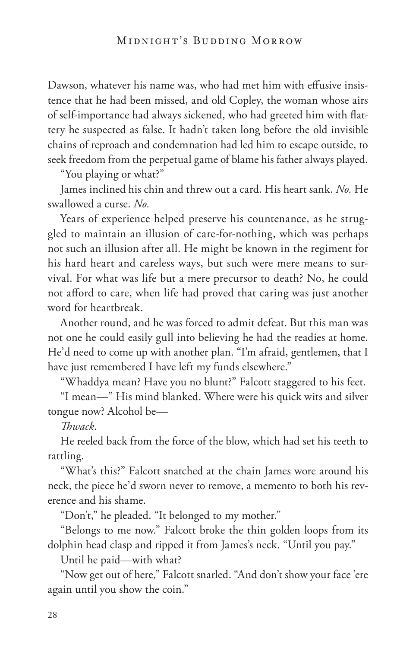Dawson, whatever his name was, who had met him with effusive insistence that he had been missed, and old Copley, the woman whose airs of self-importance had always sickened, who had greeted him with flattery he suspected as false. It hadn't taken long before the old invisible chains of reproach and condemnation had led him to escape outside, to seek freedom from the perpetual game of blame his father always played.

"You playing or what?"

James inclined his chin and threw out a card. His heart sank. *No.* He swallowed a curse. *No.*

Years of experience helped preserve his countenance, as he struggled to maintain an illusion of care-for-nothing, which was perhaps not such an illusion after all. He might be known in the regiment for his hard heart and careless ways, but such were mere means to survival. For what was life but a mere precursor to death? No, he could not afford to care, when life had proved that caring was just another word for heartbreak.

Another round, and he was forced to admit defeat. But this man was not one he could easily gull into believing he had the readies at home. He'd need to come up with another plan. "I'm afraid, gentlemen, that I have just remembered I have left my funds elsewhere."

"Whaddya mean? Have you no blunt?" Falcott staggered to his feet.

"I mean—" His mind blanked. Where were his quick wits and silver tongue now? Alcohol be—

*Thwack*.

He reeled back from the force of the blow, which had set his teeth to rattling.

"What's this?" Falcott snatched at the chain James wore around his neck, the piece he'd sworn never to remove, a memento to both his reverence and his shame.

"Don't," he pleaded. "It belonged to my mother."

"Belongs to me now." Falcott broke the thin golden loops from its dolphin head clasp and ripped it from James's neck. "Until you pay."

Until he paid—with what?

"Now get out of here," Falcott snarled. "And don't show your face 'ere again until you show the coin."